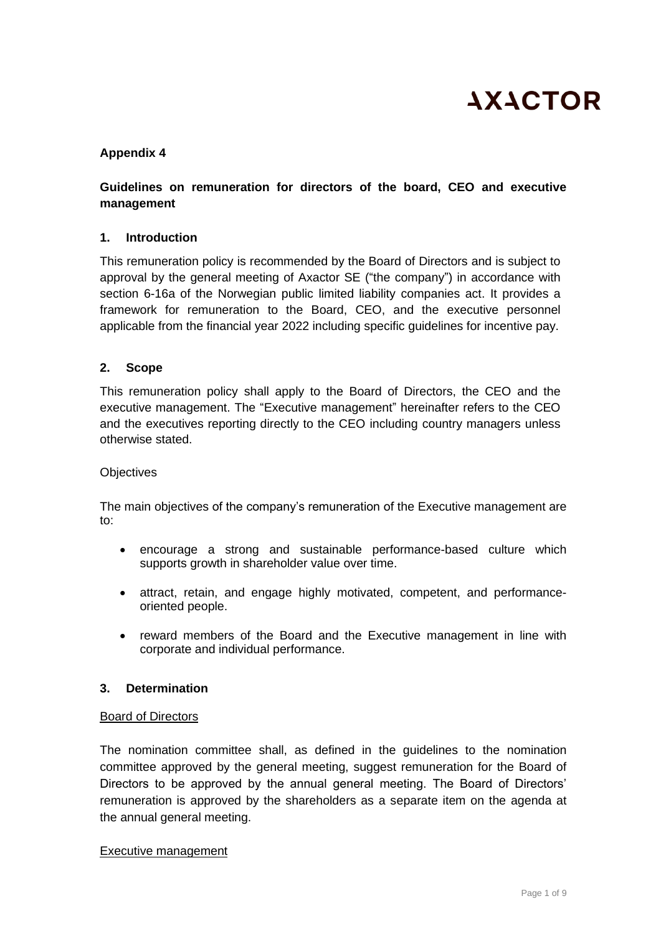

#### **Appendix 4**

## **Guidelines on remuneration for directors of the board, CEO and executive management**

#### **1. Introduction**

This remuneration policy is recommended by the Board of Directors and is subject to approval by the general meeting of Axactor SE ("the company") in accordance with section 6-16a of the Norwegian public limited liability companies act. It provides a framework for remuneration to the Board, CEO, and the executive personnel applicable from the financial year 2022 including specific guidelines for incentive pay.

#### **2. Scope**

This remuneration policy shall apply to the Board of Directors, the CEO and the executive management. The "Executive management" hereinafter refers to the CEO and the executives reporting directly to the CEO including country managers unless otherwise stated.

#### **Objectives**

The main objectives of the company's remuneration of the Executive management are to:

- encourage a strong and sustainable performance-based culture which supports growth in shareholder value over time.
- attract, retain, and engage highly motivated, competent, and performanceoriented people.
- reward members of the Board and the Executive management in line with corporate and individual performance.

#### **3. Determination**

#### Board of Directors

The nomination committee shall, as defined in the guidelines to the nomination committee approved by the general meeting, suggest remuneration for the Board of Directors to be approved by the annual general meeting. The Board of Directors' remuneration is approved by the shareholders as a separate item on the agenda at the annual general meeting.

#### Executive management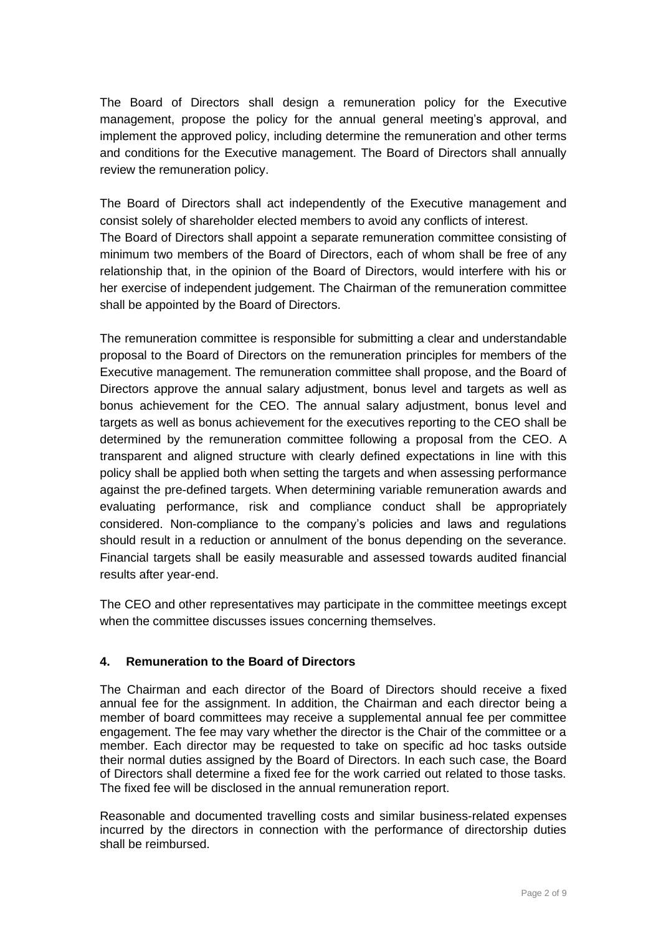The Board of Directors shall design a remuneration policy for the Executive management, propose the policy for the annual general meeting's approval, and implement the approved policy, including determine the remuneration and other terms and conditions for the Executive management. The Board of Directors shall annually review the remuneration policy.

The Board of Directors shall act independently of the Executive management and consist solely of shareholder elected members to avoid any conflicts of interest. The Board of Directors shall appoint a separate remuneration committee consisting of minimum two members of the Board of Directors, each of whom shall be free of any relationship that, in the opinion of the Board of Directors, would interfere with his or her exercise of independent judgement. The Chairman of the remuneration committee shall be appointed by the Board of Directors.

The remuneration committee is responsible for submitting a clear and understandable proposal to the Board of Directors on the remuneration principles for members of the Executive management. The remuneration committee shall propose, and the Board of Directors approve the annual salary adjustment, bonus level and targets as well as bonus achievement for the CEO. The annual salary adjustment, bonus level and targets as well as bonus achievement for the executives reporting to the CEO shall be determined by the remuneration committee following a proposal from the CEO. A transparent and aligned structure with clearly defined expectations in line with this policy shall be applied both when setting the targets and when assessing performance against the pre-defined targets. When determining variable remuneration awards and evaluating performance, risk and compliance conduct shall be appropriately considered. Non-compliance to the company's policies and laws and regulations should result in a reduction or annulment of the bonus depending on the severance. Financial targets shall be easily measurable and assessed towards audited financial results after year-end.

The CEO and other representatives may participate in the committee meetings except when the committee discusses issues concerning themselves.

# **4. Remuneration to the Board of Directors**

The Chairman and each director of the Board of Directors should receive a fixed annual fee for the assignment. In addition, the Chairman and each director being a member of board committees may receive a supplemental annual fee per committee engagement. The fee may vary whether the director is the Chair of the committee or a member. Each director may be requested to take on specific ad hoc tasks outside their normal duties assigned by the Board of Directors. In each such case, the Board of Directors shall determine a fixed fee for the work carried out related to those tasks. The fixed fee will be disclosed in the annual remuneration report.

Reasonable and documented travelling costs and similar business-related expenses incurred by the directors in connection with the performance of directorship duties shall be reimbursed.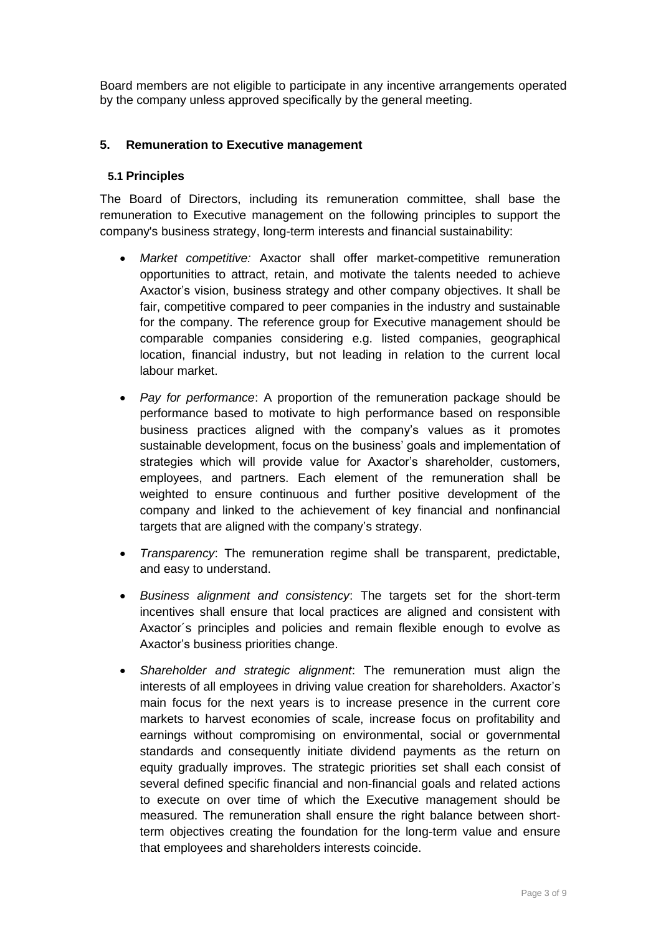Board members are not eligible to participate in any incentive arrangements operated by the company unless approved specifically by the general meeting.

## **5. Remuneration to Executive management**

#### **5.1 Principles**

The Board of Directors, including its remuneration committee, shall base the remuneration to Executive management on the following principles to support the company's business strategy, long-term interests and financial sustainability:

- *Market competitive:* Axactor shall offer market-competitive remuneration opportunities to attract, retain, and motivate the talents needed to achieve Axactor's vision, business strategy and other company objectives. It shall be fair, competitive compared to peer companies in the industry and sustainable for the company. The reference group for Executive management should be comparable companies considering e.g. listed companies, geographical location, financial industry, but not leading in relation to the current local labour market.
- *Pay for performance*: A proportion of the remuneration package should be performance based to motivate to high performance based on responsible business practices aligned with the company's values as it promotes sustainable development, focus on the business' goals and implementation of strategies which will provide value for Axactor's shareholder, customers, employees, and partners. Each element of the remuneration shall be weighted to ensure continuous and further positive development of the company and linked to the achievement of key financial and nonfinancial targets that are aligned with the company's strategy.
- *Transparency*: The remuneration regime shall be transparent, predictable, and easy to understand.
- *Business alignment and consistency*: The targets set for the short-term incentives shall ensure that local practices are aligned and consistent with Axactor´s principles and policies and remain flexible enough to evolve as Axactor's business priorities change.
- *Shareholder and strategic alignment*: The remuneration must align the interests of all employees in driving value creation for shareholders. Axactor's main focus for the next years is to increase presence in the current core markets to harvest economies of scale, increase focus on profitability and earnings without compromising on environmental, social or governmental standards and consequently initiate dividend payments as the return on equity gradually improves. The strategic priorities set shall each consist of several defined specific financial and non-financial goals and related actions to execute on over time of which the Executive management should be measured. The remuneration shall ensure the right balance between shortterm objectives creating the foundation for the long-term value and ensure that employees and shareholders interests coincide.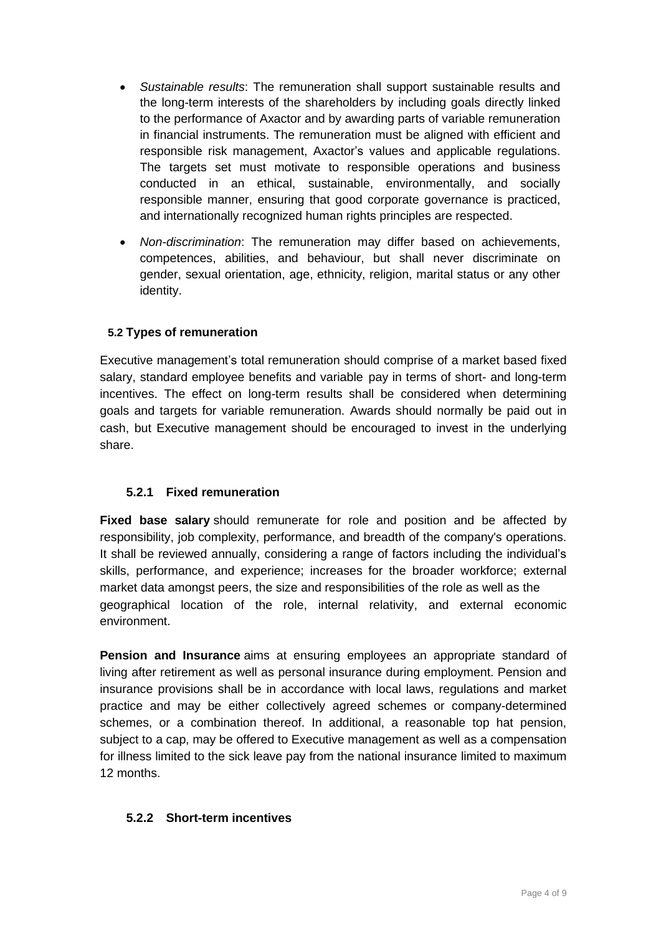- *Sustainable results*: The remuneration shall support sustainable results and the long-term interests of the shareholders by including goals directly linked to the performance of Axactor and by awarding parts of variable remuneration in financial instruments. The remuneration must be aligned with efficient and responsible risk management, Axactor's values and applicable regulations. The targets set must motivate to responsible operations and business conducted in an ethical, sustainable, environmentally, and socially responsible manner, ensuring that good corporate governance is practiced, and internationally recognized human rights principles are respected.
- *Non-discrimination*: The remuneration may differ based on achievements, competences, abilities, and behaviour, but shall never discriminate on gender, sexual orientation, age, ethnicity, religion, marital status or any other identity.

### **5.2 Types of remuneration**

Executive management's total remuneration should comprise of a market based fixed salary, standard employee benefits and variable pay in terms of short- and long-term incentives. The effect on long-term results shall be considered when determining goals and targets for variable remuneration. Awards should normally be paid out in cash, but Executive management should be encouraged to invest in the underlying share.

### **5.2.1 Fixed remuneration**

**Fixed base salary** should remunerate for role and position and be affected by responsibility, job complexity, performance, and breadth of the company's operations. It shall be reviewed annually, considering a range of factors including the individual's skills, performance, and experience; increases for the broader workforce; external market data amongst peers, the size and responsibilities of the role as well as the geographical location of the role, internal relativity, and external economic environment.

**Pension and Insurance** aims at ensuring employees an appropriate standard of living after retirement as well as personal insurance during employment. Pension and insurance provisions shall be in accordance with local laws, regulations and market practice and may be either collectively agreed schemes or company-determined schemes, or a combination thereof. In additional, a reasonable top hat pension, subject to a cap, may be offered to Executive management as well as a compensation for illness limited to the sick leave pay from the national insurance limited to maximum 12 months.

### **5.2.2 Short-term incentives**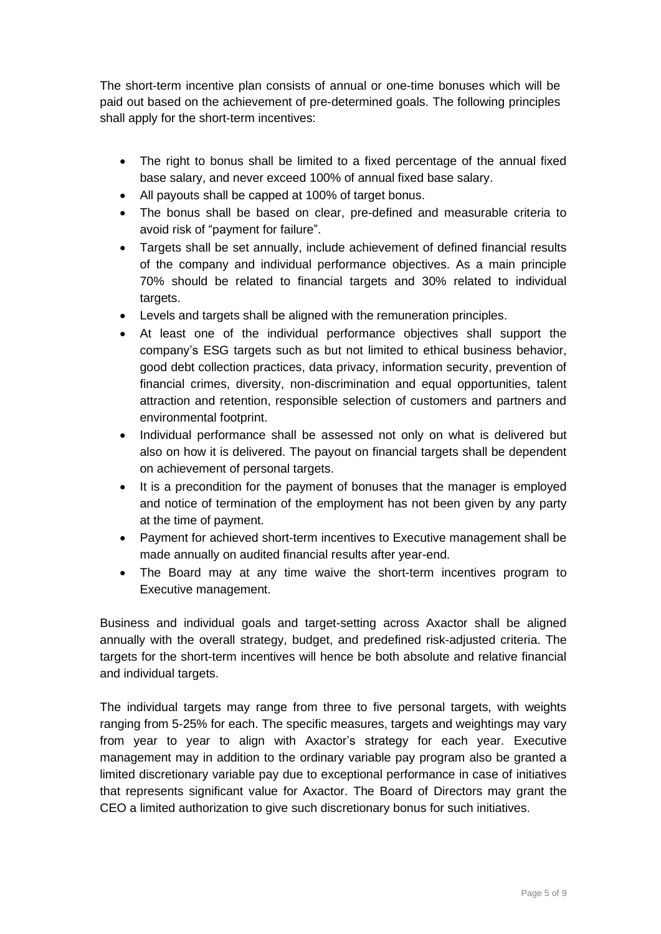The short-term incentive plan consists of annual or one-time bonuses which will be paid out based on the achievement of pre-determined goals. The following principles shall apply for the short-term incentives:

- The right to bonus shall be limited to a fixed percentage of the annual fixed base salary, and never exceed 100% of annual fixed base salary.
- All payouts shall be capped at 100% of target bonus.
- The bonus shall be based on clear, pre-defined and measurable criteria to avoid risk of "payment for failure".
- Targets shall be set annually, include achievement of defined financial results of the company and individual performance objectives. As a main principle 70% should be related to financial targets and 30% related to individual targets.
- Levels and targets shall be aligned with the remuneration principles.
- At least one of the individual performance objectives shall support the company's ESG targets such as but not limited to ethical business behavior, good debt collection practices, data privacy, information security, prevention of financial crimes, diversity, non-discrimination and equal opportunities, talent attraction and retention, responsible selection of customers and partners and environmental footprint.
- Individual performance shall be assessed not only on what is delivered but also on how it is delivered. The payout on financial targets shall be dependent on achievement of personal targets.
- It is a precondition for the payment of bonuses that the manager is employed and notice of termination of the employment has not been given by any party at the time of payment.
- Payment for achieved short-term incentives to Executive management shall be made annually on audited financial results after year-end.
- The Board may at any time waive the short-term incentives program to Executive management.

Business and individual goals and target-setting across Axactor shall be aligned annually with the overall strategy, budget, and predefined risk-adjusted criteria. The targets for the short-term incentives will hence be both absolute and relative financial and individual targets.

The individual targets may range from three to five personal targets, with weights ranging from 5-25% for each. The specific measures, targets and weightings may vary from year to year to align with Axactor's strategy for each year. Executive management may in addition to the ordinary variable pay program also be granted a limited discretionary variable pay due to exceptional performance in case of initiatives that represents significant value for Axactor. The Board of Directors may grant the CEO a limited authorization to give such discretionary bonus for such initiatives.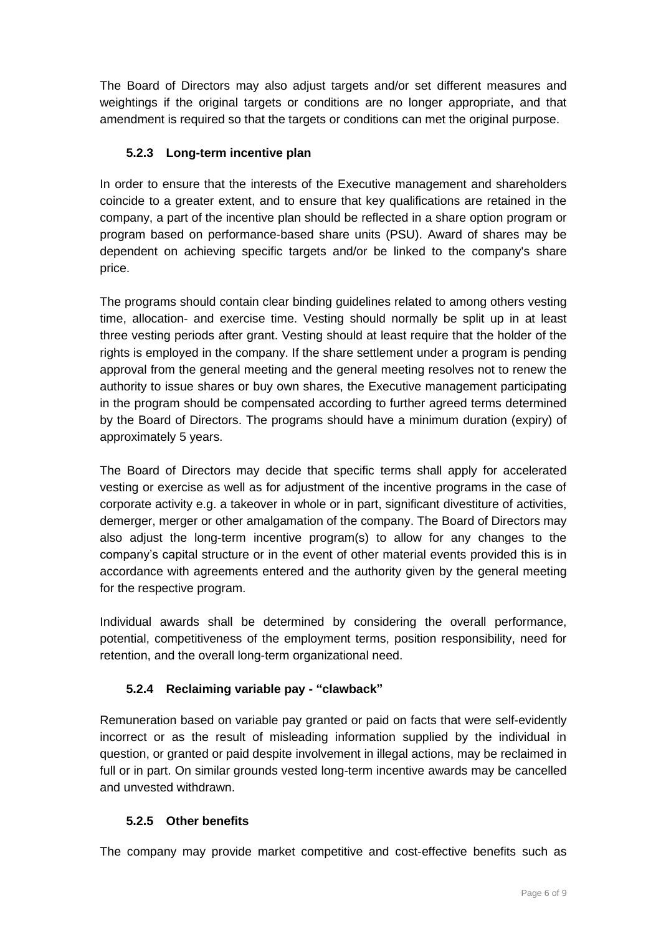The Board of Directors may also adjust targets and/or set different measures and weightings if the original targets or conditions are no longer appropriate, and that amendment is required so that the targets or conditions can met the original purpose.

# **5.2.3 Long-term incentive plan**

In order to ensure that the interests of the Executive management and shareholders coincide to a greater extent, and to ensure that key qualifications are retained in the company, a part of the incentive plan should be reflected in a share option program or program based on performance-based share units (PSU). Award of shares may be dependent on achieving specific targets and/or be linked to the company's share price.

The programs should contain clear binding guidelines related to among others vesting time, allocation- and exercise time. Vesting should normally be split up in at least three vesting periods after grant. Vesting should at least require that the holder of the rights is employed in the company. If the share settlement under a program is pending approval from the general meeting and the general meeting resolves not to renew the authority to issue shares or buy own shares, the Executive management participating in the program should be compensated according to further agreed terms determined by the Board of Directors. The programs should have a minimum duration (expiry) of approximately 5 years.

The Board of Directors may decide that specific terms shall apply for accelerated vesting or exercise as well as for adjustment of the incentive programs in the case of corporate activity e.g. a takeover in whole or in part, significant divestiture of activities, demerger, merger or other amalgamation of the company. The Board of Directors may also adjust the long-term incentive program(s) to allow for any changes to the company's capital structure or in the event of other material events provided this is in accordance with agreements entered and the authority given by the general meeting for the respective program.

Individual awards shall be determined by considering the overall performance, potential, competitiveness of the employment terms, position responsibility, need for retention, and the overall long-term organizational need.

# **5.2.4 Reclaiming variable pay - "clawback"**

Remuneration based on variable pay granted or paid on facts that were self-evidently incorrect or as the result of misleading information supplied by the individual in question, or granted or paid despite involvement in illegal actions, may be reclaimed in full or in part. On similar grounds vested long-term incentive awards may be cancelled and unvested withdrawn.

# **5.2.5 Other benefits**

The company may provide market competitive and cost-effective benefits such as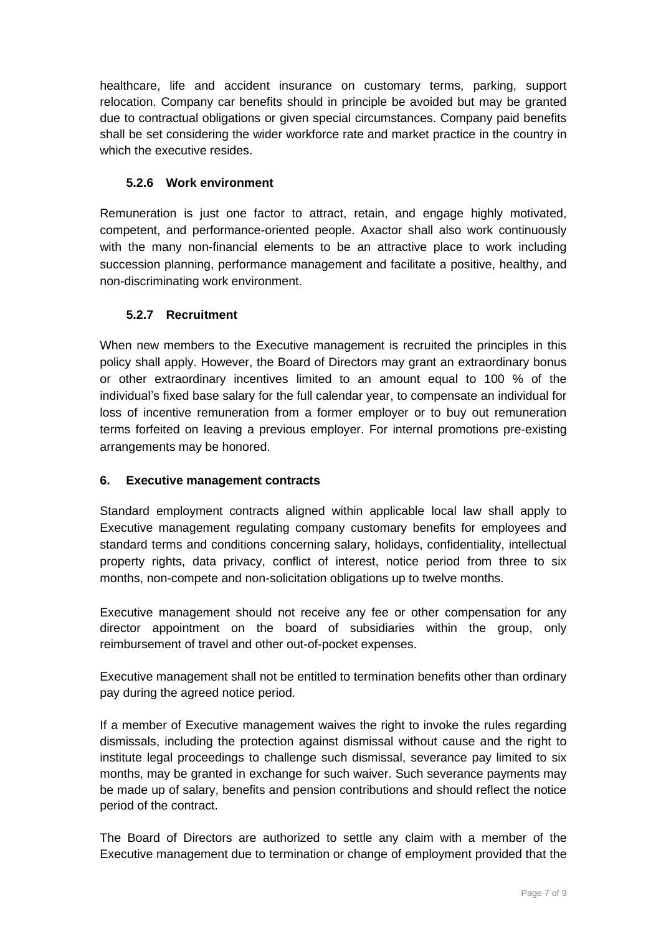healthcare, life and accident insurance on customary terms, parking, support relocation. Company car benefits should in principle be avoided but may be granted due to contractual obligations or given special circumstances. Company paid benefits shall be set considering the wider workforce rate and market practice in the country in which the executive resides.

# **5.2.6 Work environment**

Remuneration is just one factor to attract, retain, and engage highly motivated, competent, and performance-oriented people. Axactor shall also work continuously with the many non-financial elements to be an attractive place to work including succession planning, performance management and facilitate a positive, healthy, and non-discriminating work environment.

# **5.2.7 Recruitment**

When new members to the Executive management is recruited the principles in this policy shall apply. However, the Board of Directors may grant an extraordinary bonus or other extraordinary incentives limited to an amount equal to 100 % of the individual's fixed base salary for the full calendar year, to compensate an individual for loss of incentive remuneration from a former employer or to buy out remuneration terms forfeited on leaving a previous employer. For internal promotions pre-existing arrangements may be honored.

# **6. Executive management contracts**

Standard employment contracts aligned within applicable local law shall apply to Executive management regulating company customary benefits for employees and standard terms and conditions concerning salary, holidays, confidentiality, intellectual property rights, data privacy, conflict of interest, notice period from three to six months, non-compete and non-solicitation obligations up to twelve months.

Executive management should not receive any fee or other compensation for any director appointment on the board of subsidiaries within the group, only reimbursement of travel and other out-of-pocket expenses.

Executive management shall not be entitled to termination benefits other than ordinary pay during the agreed notice period.

If a member of Executive management waives the right to invoke the rules regarding dismissals, including the protection against dismissal without cause and the right to institute legal proceedings to challenge such dismissal, severance pay limited to six months, may be granted in exchange for such waiver. Such severance payments may be made up of salary, benefits and pension contributions and should reflect the notice period of the contract.

The Board of Directors are authorized to settle any claim with a member of the Executive management due to termination or change of employment provided that the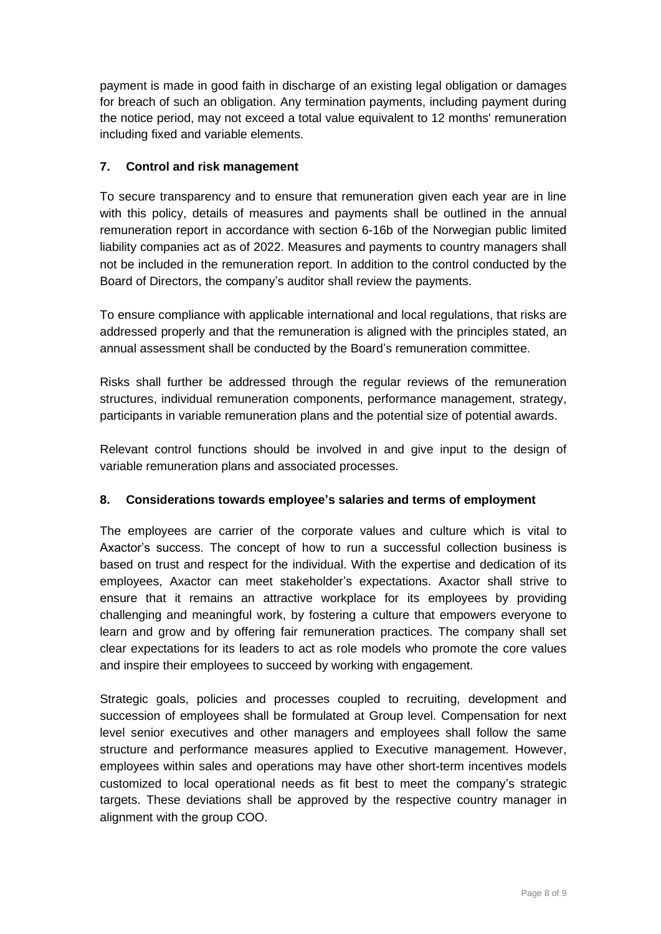payment is made in good faith in discharge of an existing legal obligation or damages for breach of such an obligation. Any termination payments, including payment during the notice period, may not exceed a total value equivalent to 12 months' remuneration including fixed and variable elements.

## **7. Control and risk management**

To secure transparency and to ensure that remuneration given each year are in line with this policy, details of measures and payments shall be outlined in the annual remuneration report in accordance with section 6-16b of the Norwegian public limited liability companies act as of 2022. Measures and payments to country managers shall not be included in the remuneration report. In addition to the control conducted by the Board of Directors, the company's auditor shall review the payments.

To ensure compliance with applicable international and local regulations, that risks are addressed properly and that the remuneration is aligned with the principles stated, an annual assessment shall be conducted by the Board's remuneration committee.

Risks shall further be addressed through the regular reviews of the remuneration structures, individual remuneration components, performance management, strategy, participants in variable remuneration plans and the potential size of potential awards.

Relevant control functions should be involved in and give input to the design of variable remuneration plans and associated processes.

# **8. Considerations towards employee's salaries and terms of employment**

The employees are carrier of the corporate values and culture which is vital to Axactor's success. The concept of how to run a successful collection business is based on trust and respect for the individual. With the expertise and dedication of its employees, Axactor can meet stakeholder's expectations. Axactor shall strive to ensure that it remains an attractive workplace for its employees by providing challenging and meaningful work, by fostering a culture that empowers everyone to learn and grow and by offering fair remuneration practices. The company shall set clear expectations for its leaders to act as role models who promote the core values and inspire their employees to succeed by working with engagement.

Strategic goals, policies and processes coupled to recruiting, development and succession of employees shall be formulated at Group level. Compensation for next level senior executives and other managers and employees shall follow the same structure and performance measures applied to Executive management. However, employees within sales and operations may have other short-term incentives models customized to local operational needs as fit best to meet the company's strategic targets. These deviations shall be approved by the respective country manager in alignment with the group COO.